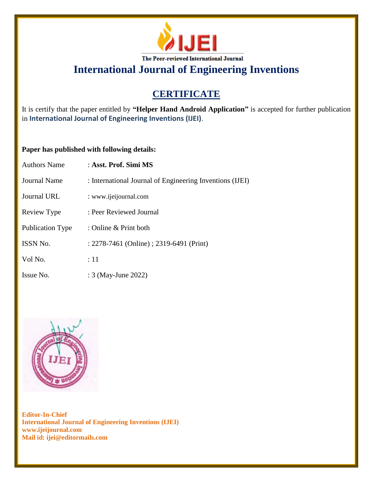

# **CERTIFICATE**

It is certify that the paper entitled by **"Helper Hand Android Application"** is accepted for further publication in **International Journal of Engineering Inventions (IJEI)**.

### **Paper has published with following details:**

| <b>Authors Name</b>     | : Asst. Prof. Simi MS                                    |
|-------------------------|----------------------------------------------------------|
| <b>Journal Name</b>     | : International Journal of Engineering Inventions (IJEI) |
| <b>Journal URL</b>      | : www.ijeijournal.com                                    |
| Review Type             | : Peer Reviewed Journal                                  |
| <b>Publication Type</b> | : Online $\&$ Print both                                 |
| <b>ISSN No.</b>         | : 2278-7461 (Online) ; 2319-6491 (Print)                 |
| Vol No.                 | :11                                                      |
| Issue No.               | : 3 (May-June 2022)                                      |

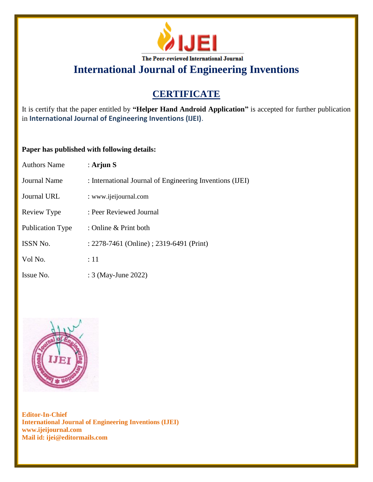

# **CERTIFICATE**

It is certify that the paper entitled by **"Helper Hand Android Application"** is accepted for further publication in **International Journal of Engineering Inventions (IJEI)**.

### **Paper has published with following details:**

| <b>Authors Name</b>     | : Arjun $S$                                              |
|-------------------------|----------------------------------------------------------|
| <b>Journal Name</b>     | : International Journal of Engineering Inventions (IJEI) |
| <b>Journal URL</b>      | : www.ijeijournal.com                                    |
| Review Type             | : Peer Reviewed Journal                                  |
| <b>Publication Type</b> | : Online $&$ Print both                                  |
| <b>ISSN No.</b>         | : 2278-7461 (Online) ; 2319-6491 (Print)                 |
| Vol No.                 | :11                                                      |
| Issue No.               | : 3 (May-June 2022)                                      |

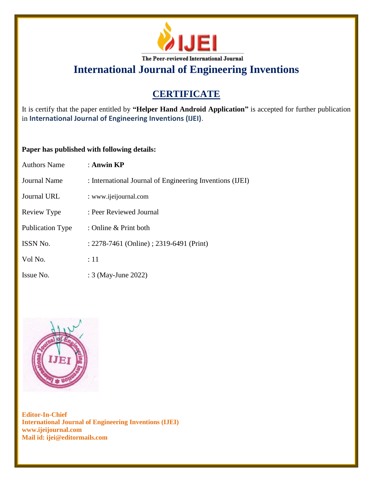

# **CERTIFICATE**

It is certify that the paper entitled by **"Helper Hand Android Application"** is accepted for further publication in **International Journal of Engineering Inventions (IJEI)**.

### **Paper has published with following details:**

| <b>Authors Name</b>     | : Anwin $KP$                                             |
|-------------------------|----------------------------------------------------------|
| Journal Name            | : International Journal of Engineering Inventions (IJEI) |
| Journal URL             | : www.ijeijournal.com                                    |
| Review Type             | : Peer Reviewed Journal                                  |
| <b>Publication Type</b> | : Online & Print both                                    |
| <b>ISSN No.</b>         | : 2278-7461 (Online) ; 2319-6491 (Print)                 |
| Vol No.                 | :11                                                      |
| Issue No.               | : 3 (May-June 2022)                                      |